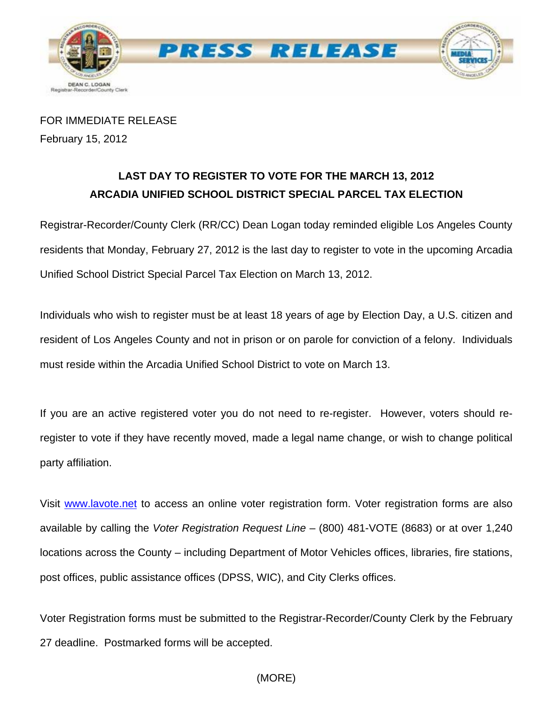

# FOR IMMEDIATE RELEASE February 15, 2012

# **LAST DAY TO REGISTER TO VOTE FOR THE MARCH 13, 2012 ARCADIA UNIFIED SCHOOL DISTRICT SPECIAL PARCEL TAX ELECTION**

Registrar-Recorder/County Clerk (RR/CC) Dean Logan today reminded eligible Los Angeles County residents that Monday, February 27, 2012 is the last day to register to vote in the upcoming Arcadia Unified School District Special Parcel Tax Election on March 13, 2012.

Individuals who wish to register must be at least 18 years of age by Election Day, a U.S. citizen and resident of Los Angeles County and not in prison or on parole for conviction of a felony. Individuals must reside within the Arcadia Unified School District to vote on March 13.

If you are an active registered voter you do not need to re-register. However, voters should reregister to vote if they have recently moved, made a legal name change, or wish to change political party affiliation.

Visit [www.lavote.net](http://www.lavote.net/) to access an online voter registration form. Voter registration forms are also available by calling the *Voter Registration Request Line* – (800) 481-VOTE (8683) or at over 1,240 locations across the County – including Department of Motor Vehicles offices, libraries, fire stations, post offices, public assistance offices (DPSS, WIC), and City Clerks offices.

Voter Registration forms must be submitted to the Registrar-Recorder/County Clerk by the February 27 deadline. Postmarked forms will be accepted.